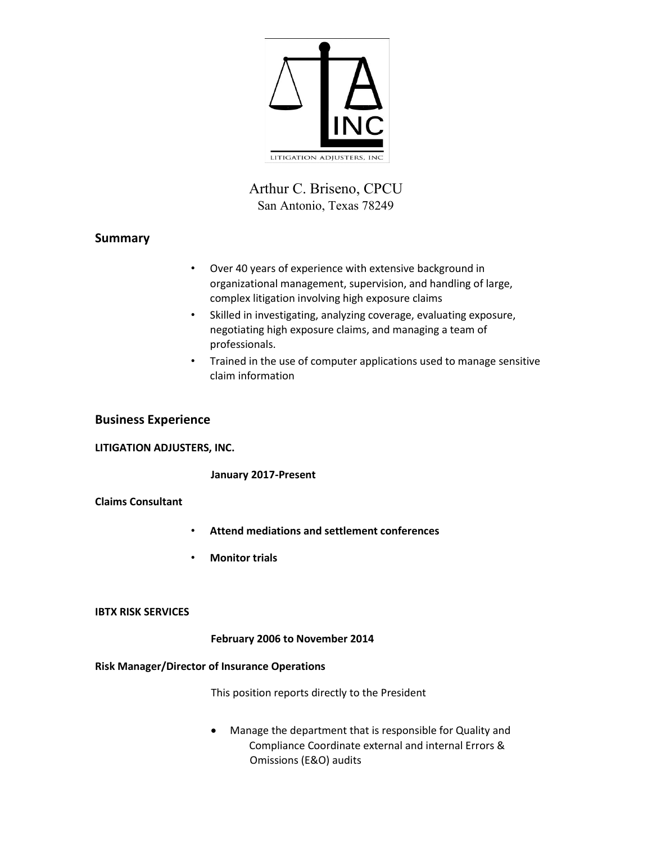

# Arthur C. Briseno, CPCU San Antonio, Texas 78249

# **Summary**

- Over 40 years of experience with extensive background in organizational management, supervision, and handling of large, complex litigation involving high exposure claims
- Skilled in investigating, analyzing coverage, evaluating exposure, negotiating high exposure claims, and managing a team of professionals.
- Trained in the use of computer applications used to manage sensitive claim information

## **Business Experience**

### **LITIGATION ADJUSTERS, INC.**

**January 2017-Present** 

### **Claims Consultant**

- **Attend mediations and settlement conferences**
- **Monitor trials**

#### **IBTX RISK SERVICES**

### **February 2006 to November 2014**

### **Risk Manager/Director of Insurance Operations**

This position reports directly to the President

• Manage the department that is responsible for Quality and Compliance Coordinate external and internal Errors & Omissions (E&O) audits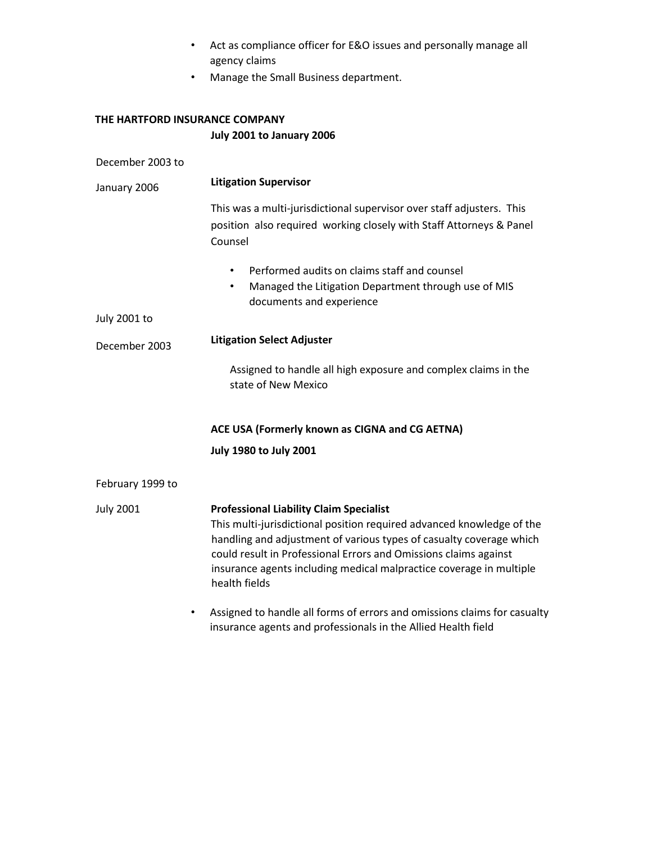- Act as compliance officer for E&O issues and personally manage all agency claims
- Manage the Small Business department.

# **THE HARTFORD INSURANCE COMPANY July 2001 to January 2006**

| December 2003 to    |                                                                                                                                                                                                                                                                                                                                                            |
|---------------------|------------------------------------------------------------------------------------------------------------------------------------------------------------------------------------------------------------------------------------------------------------------------------------------------------------------------------------------------------------|
| January 2006        | <b>Litigation Supervisor</b>                                                                                                                                                                                                                                                                                                                               |
|                     | This was a multi-jurisdictional supervisor over staff adjusters. This<br>position also required working closely with Staff Attorneys & Panel<br>Counsel                                                                                                                                                                                                    |
|                     | Performed audits on claims staff and counsel<br>$\bullet$<br>Managed the Litigation Department through use of MIS<br>$\bullet$<br>documents and experience                                                                                                                                                                                                 |
| <b>July 2001 to</b> |                                                                                                                                                                                                                                                                                                                                                            |
| December 2003       | <b>Litigation Select Adjuster</b>                                                                                                                                                                                                                                                                                                                          |
|                     | Assigned to handle all high exposure and complex claims in the<br>state of New Mexico                                                                                                                                                                                                                                                                      |
|                     | ACE USA (Formerly known as CIGNA and CG AETNA)                                                                                                                                                                                                                                                                                                             |
|                     | <b>July 1980 to July 2001</b>                                                                                                                                                                                                                                                                                                                              |
| February 1999 to    |                                                                                                                                                                                                                                                                                                                                                            |
| <b>July 2001</b>    | <b>Professional Liability Claim Specialist</b><br>This multi-jurisdictional position required advanced knowledge of the<br>handling and adjustment of various types of casualty coverage which<br>could result in Professional Errors and Omissions claims against<br>insurance agents including medical malpractice coverage in multiple<br>health fields |
| $\bullet$           | Assigned to handle all forms of errors and omissions claims for casualty                                                                                                                                                                                                                                                                                   |

insurance agents and professionals in the Allied Health field